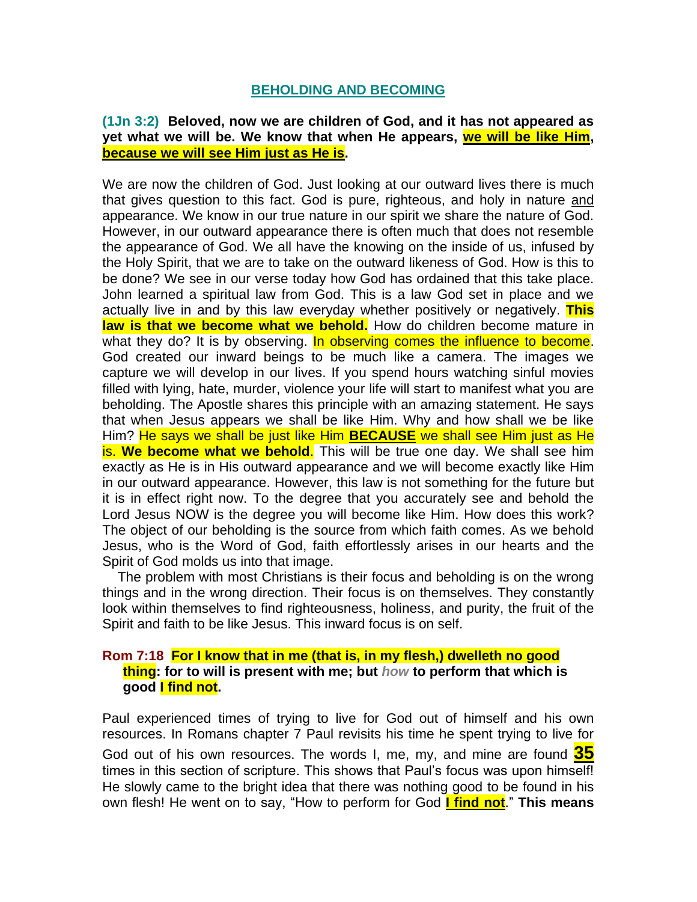## **BEHOLDING AND BECOMING**

## **(1Jn 3:2) Beloved, now we are children of God, and it has not appeared as yet what we will be. We know that when He appears, we will be like Him, because we will see Him just as He is.**

We are now the children of God. Just looking at our outward lives there is much that gives question to this fact. God is pure, righteous, and holy in nature and appearance. We know in our true nature in our spirit we share the nature of God. However, in our outward appearance there is often much that does not resemble the appearance of God. We all have the knowing on the inside of us, infused by the Holy Spirit, that we are to take on the outward likeness of God. How is this to be done? We see in our verse today how God has ordained that this take place. John learned a spiritual law from God. This is a law God set in place and we actually live in and by this law everyday whether positively or negatively. **This**  law is that we become what we behold. How do children become mature in what they do? It is by observing. In observing comes the influence to become. God created our inward beings to be much like a camera. The images we capture we will develop in our lives. If you spend hours watching sinful movies filled with lying, hate, murder, violence your life will start to manifest what you are beholding. The Apostle shares this principle with an amazing statement. He says that when Jesus appears we shall be like Him. Why and how shall we be like Him? He says we shall be just like Him **BECAUSE** we shall see Him just as He is. **We become what we behold**. This will be true one day. We shall see him exactly as He is in His outward appearance and we will become exactly like Him in our outward appearance. However, this law is not something for the future but it is in effect right now. To the degree that you accurately see and behold the Lord Jesus NOW is the degree you will become like Him. How does this work? The object of our beholding is the source from which faith comes. As we behold Jesus, who is the Word of God, faith effortlessly arises in our hearts and the Spirit of God molds us into that image.

 The problem with most Christians is their focus and beholding is on the wrong things and in the wrong direction. Their focus is on themselves. They constantly look within themselves to find righteousness, holiness, and purity, the fruit of the Spirit and faith to be like Jesus. This inward focus is on self.

## **Rom 7:18 For I know that in me (that is, in my flesh,) dwelleth no good thing: for to will is present with me; but** *how* **to perform that which is good I find not.**

Paul experienced times of trying to live for God out of himself and his own resources. In Romans chapter 7 Paul revisits his time he spent trying to live for God out of his own resources. The words I, me, my, and mine are found **35** times in this section of scripture. This shows that Paul's focus was upon himself! He slowly came to the bright idea that there was nothing good to be found in his own flesh! He went on to say, "How to perform for God **I find not**." **This means**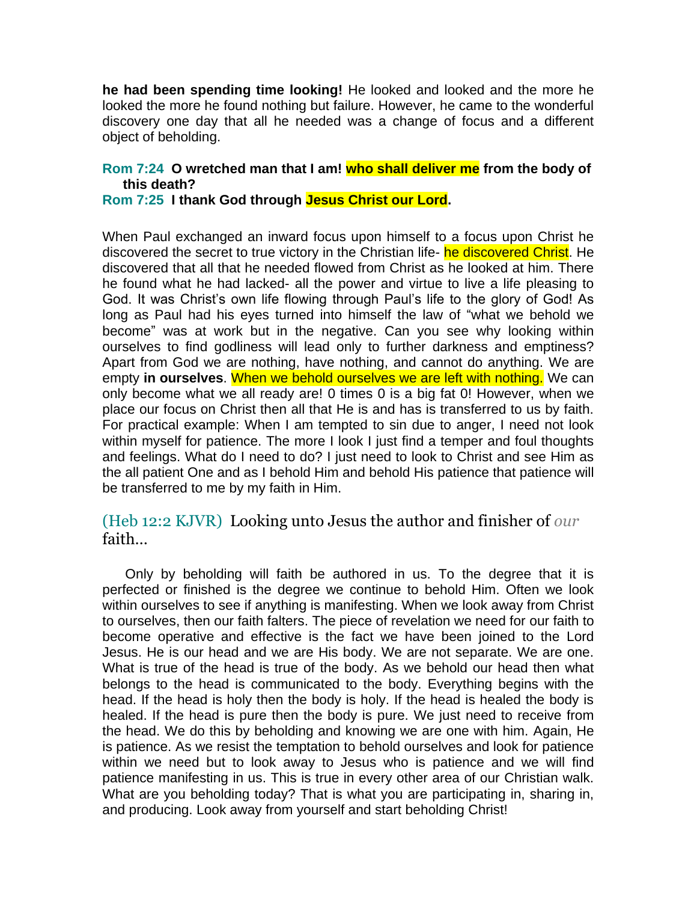**he had been spending time looking!** He looked and looked and the more he looked the more he found nothing but failure. However, he came to the wonderful discovery one day that all he needed was a change of focus and a different object of beholding.

## **Rom 7:24 O wretched man that I am! who shall deliver me from the body of this death?**

**Rom 7:25 I thank God through Jesus Christ our Lord.** 

When Paul exchanged an inward focus upon himself to a focus upon Christ he discovered the secret to true victory in the Christian life- he discovered Christ. He discovered that all that he needed flowed from Christ as he looked at him. There he found what he had lacked- all the power and virtue to live a life pleasing to God. It was Christ's own life flowing through Paul's life to the glory of God! As long as Paul had his eyes turned into himself the law of "what we behold we become" was at work but in the negative. Can you see why looking within ourselves to find godliness will lead only to further darkness and emptiness? Apart from God we are nothing, have nothing, and cannot do anything. We are empty **in ourselves**. When we behold ourselves we are left with nothing. We can only become what we all ready are! 0 times 0 is a big fat 0! However, when we place our focus on Christ then all that He is and has is transferred to us by faith. For practical example: When I am tempted to sin due to anger, I need not look within myself for patience. The more I look I just find a temper and foul thoughts and feelings. What do I need to do? I just need to look to Christ and see Him as the all patient One and as I behold Him and behold His patience that patience will be transferred to me by my faith in Him.

(Heb 12:2 KJVR) Looking unto Jesus the author and finisher of *our* faith…

 Only by beholding will faith be authored in us. To the degree that it is perfected or finished is the degree we continue to behold Him. Often we look within ourselves to see if anything is manifesting. When we look away from Christ to ourselves, then our faith falters. The piece of revelation we need for our faith to become operative and effective is the fact we have been joined to the Lord Jesus. He is our head and we are His body. We are not separate. We are one. What is true of the head is true of the body. As we behold our head then what belongs to the head is communicated to the body. Everything begins with the head. If the head is holy then the body is holy. If the head is healed the body is healed. If the head is pure then the body is pure. We just need to receive from the head. We do this by beholding and knowing we are one with him. Again, He is patience. As we resist the temptation to behold ourselves and look for patience within we need but to look away to Jesus who is patience and we will find patience manifesting in us. This is true in every other area of our Christian walk. What are you beholding today? That is what you are participating in, sharing in, and producing. Look away from yourself and start beholding Christ!